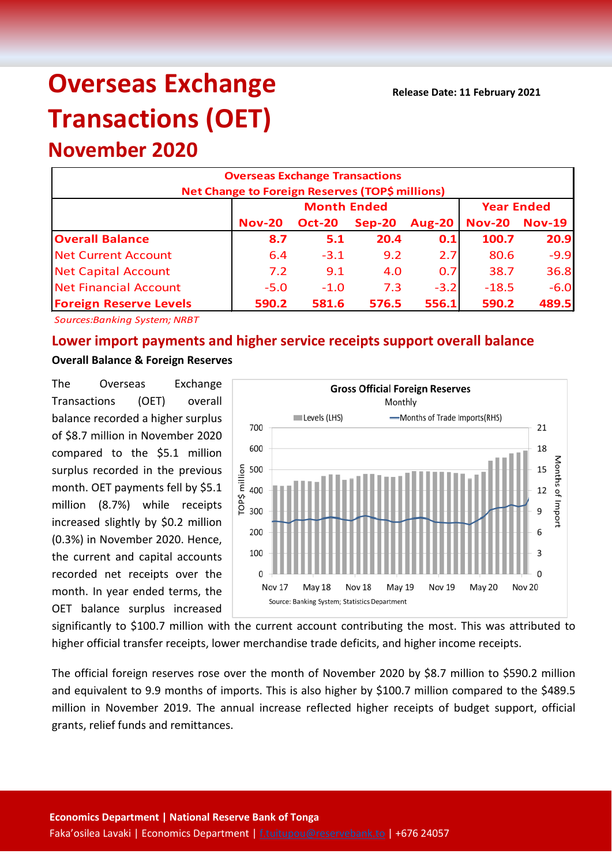**Release Date: 11 February 2021**

# **Overseas Exchange Transactions (OET)**

**November 2020**

| <b>Overseas Exchange Transactions</b><br>Net Change to Foreign Reserves (TOP\$ millions) |                                         |               |          |               |               |               |  |  |
|------------------------------------------------------------------------------------------|-----------------------------------------|---------------|----------|---------------|---------------|---------------|--|--|
|                                                                                          | <b>Month Ended</b><br><b>Year Ended</b> |               |          |               |               |               |  |  |
|                                                                                          | <b>Nov-20</b>                           | <b>Oct-20</b> | $Sep-20$ | <b>Aug-20</b> | <b>Nov-20</b> | <b>Nov-19</b> |  |  |
| <b>Overall Balance</b>                                                                   | 8.7                                     | 5.1           | 20.4     | 0.1           | 100.7         | 20.9          |  |  |
| <b>Net Current Account</b>                                                               | 6.4                                     | $-3.1$        | 9.2      | 2.7           | 80.6          | $-9.9$        |  |  |
| <b>Net Capital Account</b>                                                               | 7.2                                     | 9.1           | 4.0      | 0.7           | 38.7          | 36.8          |  |  |
| <b>Net Financial Account</b>                                                             | $-5.0$                                  | $-1.0$        | 7.3      | $-3.2$        | $-18.5$       | $-6.0$        |  |  |
| <b>Foreign Reserve Levels</b>                                                            | 590.2                                   | 581.6         | 576.5    | 556.1         | 590.2         | 489.5         |  |  |

*Sources:Banking System; NRBT*

# **Lower import payments and higher service receipts support overall balance**

# **Overall Balance & Foreign Reserves**

The Overseas Exchange Transactions (OET) overall balance recorded a higher surplus of \$8.7 million in November 2020 compared to the \$5.1 million surplus recorded in the previous month. OET payments fell by \$5.1 million (8.7%) while receipts increased slightly by \$0.2 million (0.3%) in November 2020. Hence, the current and capital accounts recorded net receipts over the month. In year ended terms, the OET balance surplus increased



significantly to \$100.7 million with the current account contributing the most. This was attributed to higher official transfer receipts, lower merchandise trade deficits, and higher income receipts.

The official foreign reserves rose over the month of November 2020 by \$8.7 million to \$590.2 million and equivalent to 9.9 months of imports. This is also higher by \$100.7 million compared to the \$489.5 million in November 2019. The annual increase reflected higher receipts of budget support, official grants, relief funds and remittances.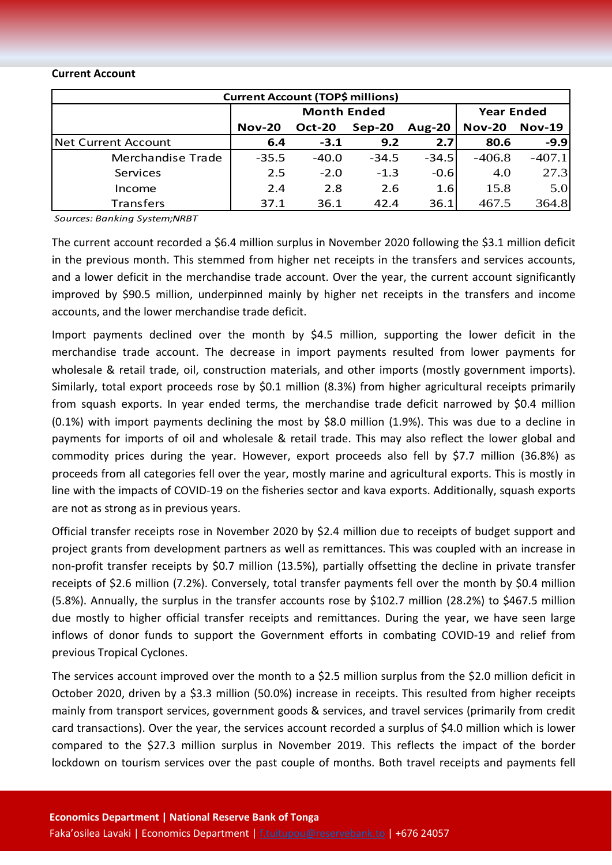#### **Current Account**

| <b>Current Account (TOP\$ millions)</b> |                    |               |          |                  |                   |               |  |  |
|-----------------------------------------|--------------------|---------------|----------|------------------|-------------------|---------------|--|--|
|                                         | <b>Month Ended</b> |               |          |                  | <b>Year Ended</b> |               |  |  |
|                                         | <b>Nov-20</b>      | <b>Oct-20</b> | $Sep-20$ | <b>Aug-20</b>    | <b>Nov-20</b>     | <b>Nov-19</b> |  |  |
| Net Current Account                     | 6.4                | $-3.1$        | 9.2      | 2.7 <sup>1</sup> | 80.6              | $-9.9$        |  |  |
| Merchandise Trade                       | $-35.5$            | $-40.0$       | $-34.5$  | $-34.5$          | $-406.8$          | $-407.1$      |  |  |
| Services                                | 2.5                | $-2.0$        | $-1.3$   | $-0.6$           | 4.0               | 27.3          |  |  |
| Income                                  | 2.4                | 2.8           | 2.6      | 1.6              | 15.8              | 5.0           |  |  |
| <b>Transfers</b>                        | 37.1               | 36.1          | 42.4     | 36.1             | 467.5             | 364.8         |  |  |

*Sources: Banking System;NRBT*

The current account recorded a \$6.4 million surplus in November 2020 following the \$3.1 million deficit in the previous month. This stemmed from higher net receipts in the transfers and services accounts, and a lower deficit in the merchandise trade account. Over the year, the current account significantly improved by \$90.5 million, underpinned mainly by higher net receipts in the transfers and income accounts, and the lower merchandise trade deficit.

Import payments declined over the month by \$4.5 million, supporting the lower deficit in the merchandise trade account. The decrease in import payments resulted from lower payments for wholesale & retail trade, oil, construction materials, and other imports (mostly government imports). Similarly, total export proceeds rose by \$0.1 million (8.3%) from higher agricultural receipts primarily from squash exports. In year ended terms, the merchandise trade deficit narrowed by \$0.4 million (0.1%) with import payments declining the most by \$8.0 million (1.9%). This was due to a decline in payments for imports of oil and wholesale & retail trade. This may also reflect the lower global and commodity prices during the year. However, export proceeds also fell by \$7.7 million (36.8%) as proceeds from all categories fell over the year, mostly marine and agricultural exports. This is mostly in line with the impacts of COVID-19 on the fisheries sector and kava exports. Additionally, squash exports are not as strong as in previous years.

Official transfer receipts rose in November 2020 by \$2.4 million due to receipts of budget support and project grants from development partners as well as remittances. This was coupled with an increase in non-profit transfer receipts by \$0.7 million (13.5%), partially offsetting the decline in private transfer receipts of \$2.6 million (7.2%). Conversely, total transfer payments fell over the month by \$0.4 million (5.8%). Annually, the surplus in the transfer accounts rose by \$102.7 million (28.2%) to \$467.5 million due mostly to higher official transfer receipts and remittances. During the year, we have seen large inflows of donor funds to support the Government efforts in combating COVID-19 and relief from previous Tropical Cyclones.

The services account improved over the month to a \$2.5 million surplus from the \$2.0 million deficit in October 2020, driven by a \$3.3 million (50.0%) increase in receipts. This resulted from higher receipts mainly from transport services, government goods & services, and travel services (primarily from credit card transactions). Over the year, the services account recorded a surplus of \$4.0 million which is lower compared to the \$27.3 million surplus in November 2019. This reflects the impact of the border lockdown on tourism services over the past couple of months. Both travel receipts and payments fell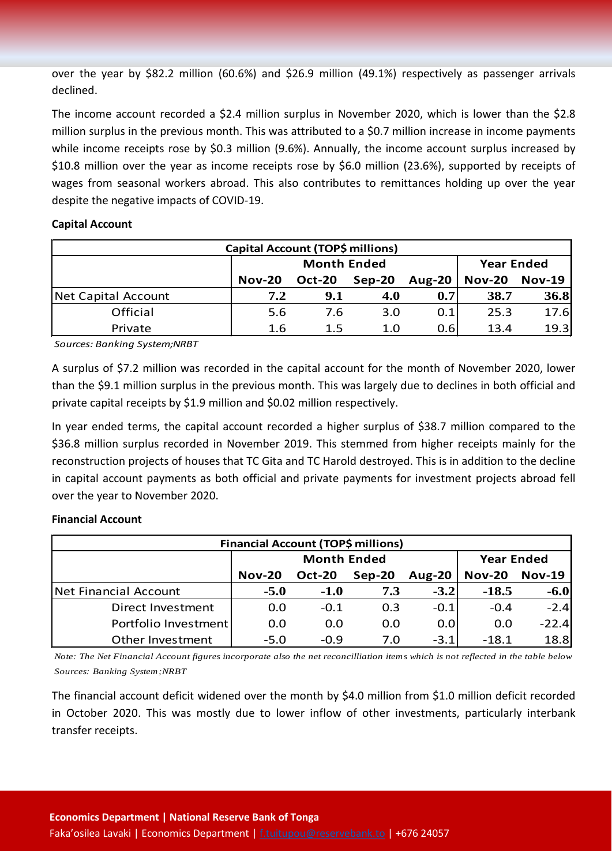over the year by \$82.2 million (60.6%) and \$26.9 million (49.1%) respectively as passenger arrivals declined.

The income account recorded a \$2.4 million surplus in November 2020, which is lower than the \$2.8 million surplus in the previous month. This was attributed to a \$0.7 million increase in income payments while income receipts rose by \$0.3 million (9.6%). Annually, the income account surplus increased by \$10.8 million over the year as income receipts rose by \$6.0 million (23.6%), supported by receipts of wages from seasonal workers abroad. This also contributes to remittances holding up over the year despite the negative impacts of COVID-19.

# **Capital Account**

| Capital Account (TOP\$ millions) |               |                    |                   |               |               |               |  |  |
|----------------------------------|---------------|--------------------|-------------------|---------------|---------------|---------------|--|--|
|                                  |               | <b>Month Ended</b> | <b>Year Ended</b> |               |               |               |  |  |
|                                  | <b>Nov-20</b> | <b>Oct-20</b>      | $Sep-20$          | <b>Aug-20</b> | <b>Nov-20</b> | <b>Nov-19</b> |  |  |
| Net Capital Account              | 7.2           | 9.1                | 4.0               | 0.7           | 38.7          | 36.8          |  |  |
| Official                         | 5.6           | 7.6                | 3.0               | 0.1           | 25.3          | 17.6          |  |  |
| Private                          | 1.6           | $1.5\,$            | 1.0               | 0.6           | 13.4          | 19.3          |  |  |

*Sources: Banking System;NRBT*

A surplus of \$7.2 million was recorded in the capital account for the month of November 2020, lower than the \$9.1 million surplus in the previous month. This was largely due to declines in both official and private capital receipts by \$1.9 million and \$0.02 million respectively.

In year ended terms, the capital account recorded a higher surplus of \$38.7 million compared to the \$36.8 million surplus recorded in November 2019. This stemmed from higher receipts mainly for the reconstruction projects of houses that TC Gita and TC Harold destroyed. This is in addition to the decline in capital account payments as both official and private payments for investment projects abroad fell over the year to November 2020.

# **Financial Account**

| Financial Account (TOP\$ millions) |               |                    |                   |               |               |               |  |  |
|------------------------------------|---------------|--------------------|-------------------|---------------|---------------|---------------|--|--|
|                                    |               | <b>Month Ended</b> | <b>Year Ended</b> |               |               |               |  |  |
|                                    | <b>Nov-20</b> | <b>Oct-20</b>      | $Sep-20$          | <b>Aug-20</b> | <b>Nov-20</b> | <b>Nov-19</b> |  |  |
| Net Financial Account              | $-5.0$        | $-1.0$             | 7.3               | $-3.2$        | $-18.5$       | $-6.0$        |  |  |
| Direct Investment                  | 0.0           | $-0.1$             | 0.3               | $-0.1$        | $-0.4$        | $-2.4$        |  |  |
| Portfolio Investment               | 0.0           | 0.0                | 0.0               | 0.0           | 0.0           | $-22.4$       |  |  |
| Other Investment                   | $-5.0$        | $-0.9$             | 7.0               | $-3.1$        | $-18.1$       | 18.8          |  |  |

*Note: The Net Financial Account figures incorporate also the net reconcilliation items which is not reflected in the table below Sources: Banking System;NRBT*

The financial account deficit widened over the month by \$4.0 million from \$1.0 million deficit recorded in October 2020. This was mostly due to lower inflow of other investments, particularly interbank transfer receipts.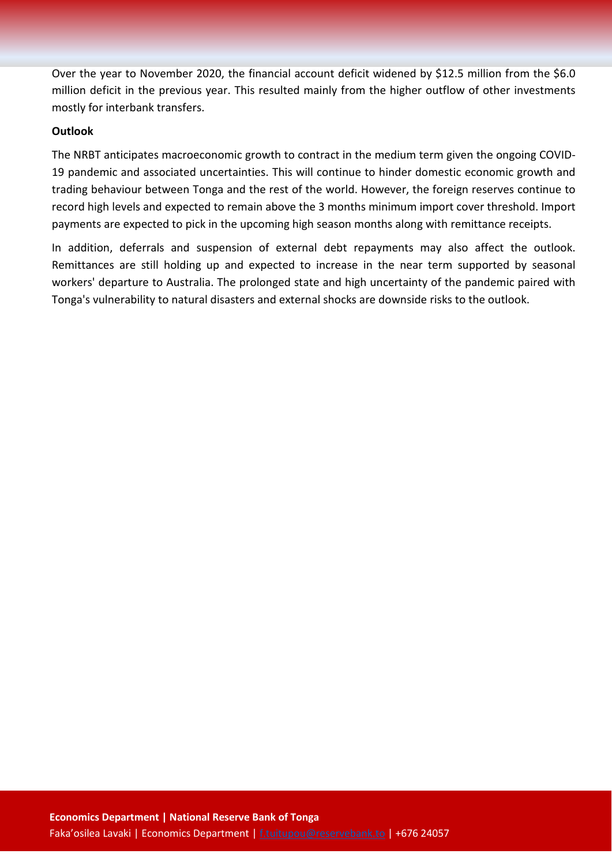Over the year to November 2020, the financial account deficit widened by \$12.5 million from the \$6.0 million deficit in the previous year. This resulted mainly from the higher outflow of other investments mostly for interbank transfers.

# **Outlook**

The NRBT anticipates macroeconomic growth to contract in the medium term given the ongoing COVID-19 pandemic and associated uncertainties. This will continue to hinder domestic economic growth and trading behaviour between Tonga and the rest of the world. However, the foreign reserves continue to record high levels and expected to remain above the 3 months minimum import cover threshold. Import payments are expected to pick in the upcoming high season months along with remittance receipts.

In addition, deferrals and suspension of external debt repayments may also affect the outlook. Remittances are still holding up and expected to increase in the near term supported by seasonal workers' departure to Australia. The prolonged state and high uncertainty of the pandemic paired with Tonga's vulnerability to natural disasters and external shocks are downside risks to the outlook.